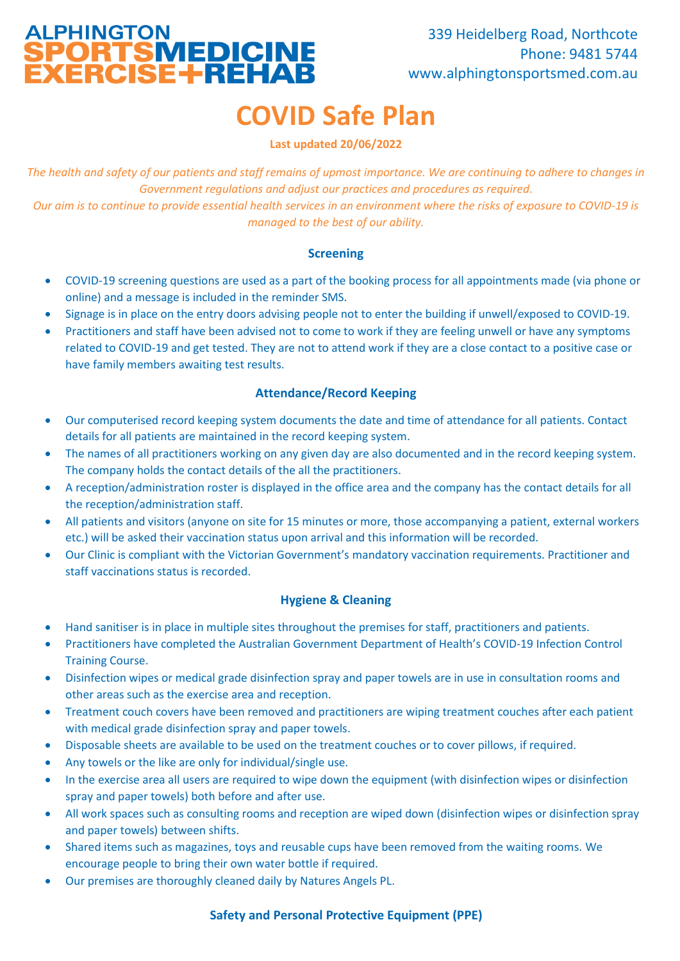# ALPHINGTON<br>**SPORTSMEDICINE**<br>EXERCISE+REHAB

# **COVID Safe Plan**

**Last updated 20/06/2022**

*The health and safety of our patients and staff remains of upmost importance. We are continuing to adhere to changes in Government regulations and adjust our practices and procedures as required. Our aim is to continue to provide essential health services in an environment where the risks of exposure to COVID-19 is managed to the best of our ability.*

#### **Screening**

- COVID-19 screening questions are used as a part of the booking process for all appointments made (via phone or online) and a message is included in the reminder SMS.
- Signage is in place on the entry doors advising people not to enter the building if unwell/exposed to COVID-19.
- Practitioners and staff have been advised not to come to work if they are feeling unwell or have any symptoms related to COVID-19 and get tested. They are not to attend work if they are a close contact to a positive case or have family members awaiting test results.

# **Attendance/Record Keeping**

- Our computerised record keeping system documents the date and time of attendance for all patients. Contact details for all patients are maintained in the record keeping system.
- The names of all practitioners working on any given day are also documented and in the record keeping system. The company holds the contact details of the all the practitioners.
- A reception/administration roster is displayed in the office area and the company has the contact details for all the reception/administration staff.
- All patients and visitors (anyone on site for 15 minutes or more, those accompanying a patient, external workers etc.) will be asked their vaccination status upon arrival and this information will be recorded.
- Our Clinic is compliant with the Victorian Government's mandatory vaccination requirements. Practitioner and staff vaccinations status is recorded.

# **Hygiene & Cleaning**

- Hand sanitiser is in place in multiple sites throughout the premises for staff, practitioners and patients.
- Practitioners have completed the Australian Government Department of Health's COVID-19 Infection Control Training Course.
- Disinfection wipes or medical grade disinfection spray and paper towels are in use in consultation rooms and other areas such as the exercise area and reception.
- Treatment couch covers have been removed and practitioners are wiping treatment couches after each patient with medical grade disinfection spray and paper towels.
- Disposable sheets are available to be used on the treatment couches or to cover pillows, if required.
- Any towels or the like are only for individual/single use.
- In the exercise area all users are required to wipe down the equipment (with disinfection wipes or disinfection spray and paper towels) both before and after use.
- All work spaces such as consulting rooms and reception are wiped down (disinfection wipes or disinfection spray and paper towels) between shifts.
- Shared items such as magazines, toys and reusable cups have been removed from the waiting rooms. We encourage people to bring their own water bottle if required.
- Our premises are thoroughly cleaned daily by Natures Angels PL.

# **Safety and Personal Protective Equipment (PPE)**